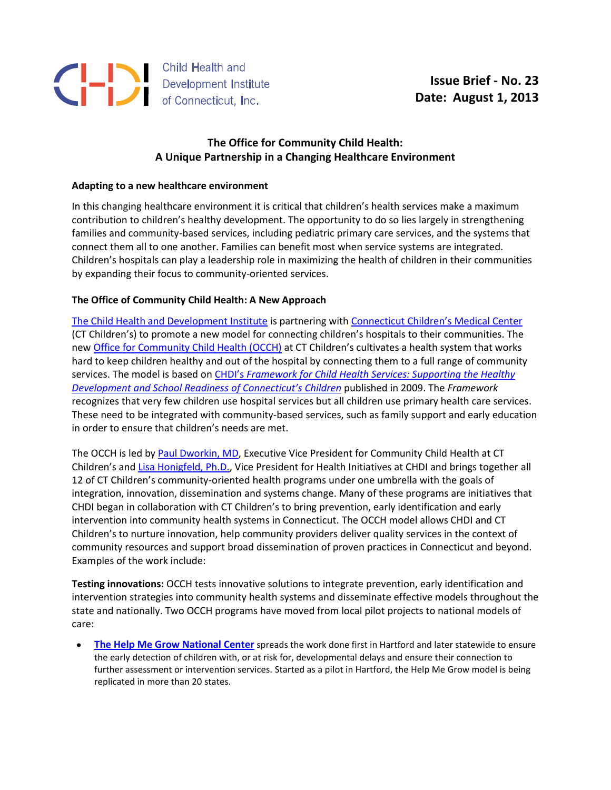

## **The Office for Community Child Health: A Unique Partnership in a Changing Healthcare Environment**

## **Adapting to a new healthcare environment**

In this changing healthcare environment it is critical that children's health services make a maximum contribution to children's healthy development. The opportunity to do so lies largely in strengthening families and community-based services, including pediatric primary care services, and the systems that connect them all to one another. Families can benefit most when service systems are integrated. Children's hospitals can play a leadership role in maximizing the health of children in their communities by expanding their focus to community-oriented services.

## **The Office of Community Child Health: A New Approach**

[The Child Health and Development Institute](http://www.chdi.org/) is partnering with [Connecticut Children's Medical Center](http://www.connecticutchildrens.org/) (CT Children's) to promote a new model for connecting children's hospitals to their communities. The ne[w Office for Community Child Health \(OCCH\)](http://www.connecticutchildrens.org/community-child-health) at CT Children's cultivates a health system that works hard to keep children healthy and out of the hospital by connecting them to a full range of community services. The model is based on CHDI's *[Framework for Child Health Services: Supporting the Healthy](http://www.chdi.org/frameworkchildhealthsrvs)  Development and Sc[hool Readiness of Connecticut's C](http://www.chdi.org/frameworkchildhealthsrvs)hildren* published in 2009. The *Framework*  recognizes that very few children use hospital services but all children use primary health care services. These need to be integrated with community-based services, such as family support and early education in order to ensure that children's needs are met.

The OCCH is led by [Paul Dworkin,](http://www.connecticutchildrens.org/physicians/paul-dworkin) MD, Executive Vice President for Community Child Health at CT Children's and [Lisa Honigfeld,](http://www.chdi.org/about-staff-bios.php?id=16) Ph.D., Vice President for Health Initiatives at CHDI and brings together all 12 of CT Children's community-oriented health programs under one umbrella with the goals of integration, innovation, dissemination and systems change. Many of these programs are initiatives that CHDI began in collaboration with CT Children's to bring prevention, early identification and early intervention into community health systems in Connecticut. The OCCH model allows CHDI and CT Children's to nurture innovation, help community providers deliver quality services in the context of community resources and support broad dissemination of proven practices in Connecticut and beyond. Examples of the work include:

**Testing innovations:** OCCH tests innovative solutions to integrate prevention, early identification and intervention strategies into community health systems and disseminate effective models throughout the state and nationally. Two OCCH programs have moved from local pilot projects to national models of care:

**[The Help Me Grow National Center](http://www.helpmegrownational.org/)** spreads the work done first in Hartford and later statewide to ensure  $\bullet$ the early detection of children with, or at risk for, developmental delays and ensure their connection to further assessment or intervention services. Started as a pilot in Hartford, the Help Me Grow model is being replicated in more than 20 states.